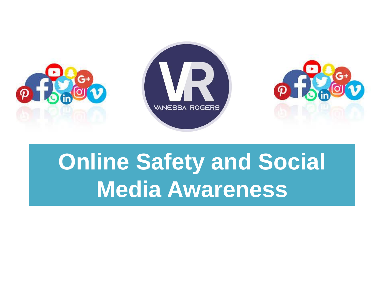

# **Online Safety and Social Media Awareness**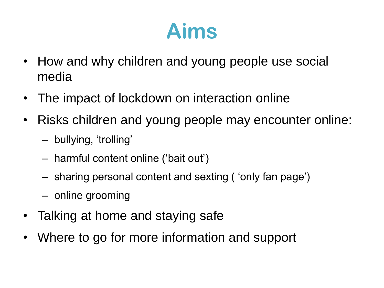#### **Aims**

- How and why children and young people use social media
- The impact of lockdown on interaction online
- Risks children and young people may encounter online:
	- bullying, 'trolling'
	- harmful content online ('bait out')
	- sharing personal content and sexting ( 'only fan page')
	- online grooming
- Talking at home and staying safe
- Where to go for more information and support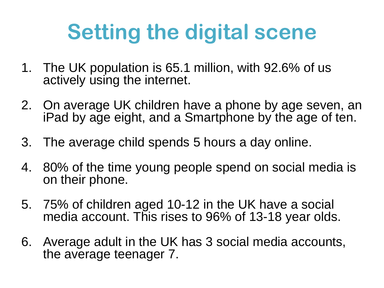#### **Setting the digital scene**

- 1. The UK population is 65.1 million, with 92.6% of us actively using the internet.
- 2. On average UK children have a phone by age seven, an iPad by age eight, and a Smartphone by the age of ten.
- 3. The average child spends 5 hours a day online.
- 4. 80% of the time young people spend on social media is on their phone.
- 5. 75% of children aged 10-12 in the UK have a social media account. This rises to 96% of 13-18 year olds.
- 6. Average adult in the UK has 3 social media accounts, the average teenager 7.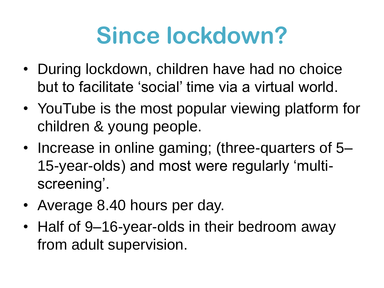# **Since lockdown?**

- During lockdown, children have had no choice but to facilitate 'social' time via a virtual world.
- YouTube is the most popular viewing platform for children & young people.
- Increase in online gaming; (three-quarters of 5– 15-year-olds) and most were regularly 'multiscreening'.
- Average 8.40 hours per day.
- Half of 9–16-year-olds in their bedroom away from adult supervision.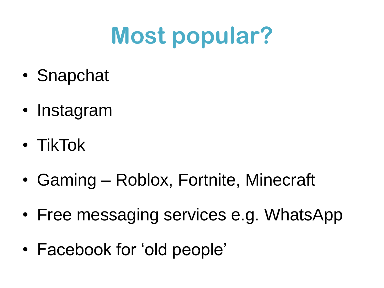# **Most popular?**

- Snapchat
- Instagram
- TikTok
- Gaming Roblox, Fortnite, Minecraft
- Free messaging services e.g. WhatsApp
- Facebook for 'old people'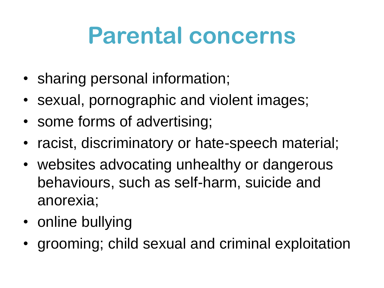# **Parental concerns**

- sharing personal information;
- sexual, pornographic and violent images;
- some forms of advertising;
- racist, discriminatory or hate-speech material;
- websites advocating unhealthy or dangerous behaviours, such as self-harm, suicide and anorexia;
- online bullying
- grooming; child sexual and criminal exploitation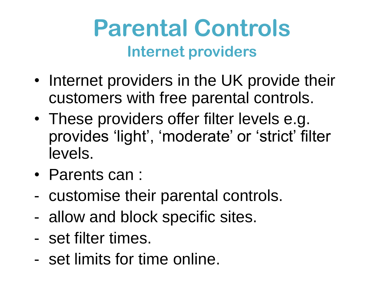#### **Parental Controls Internet providers**

- Internet providers in the UK provide their customers with free parental controls.
- These providers offer filter levels e.g. provides 'light', 'moderate' or 'strict' filter levels.
- Parents can :
- customise their parental controls.
- allow and block specific sites.
- set filter times.
- set limits for time online.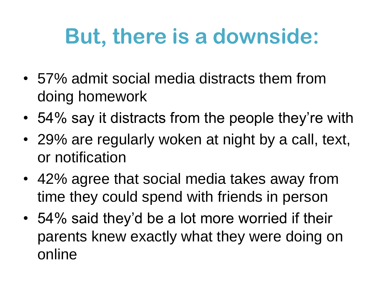#### **But, there is a downside:**

- 57% admit social media distracts them from doing homework
- 54% say it distracts from the people they're with
- 29% are regularly woken at night by a call, text, or notification
- 42% agree that social media takes away from time they could spend with friends in person
- 54% said they'd be a lot more worried if their parents knew exactly what they were doing on online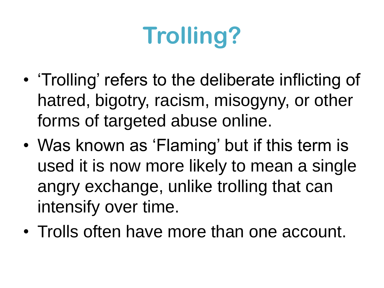# **Trolling?**

- 'Trolling' refers to the deliberate inflicting of hatred, bigotry, racism, misogyny, or other forms of targeted abuse online.
- Was known as 'Flaming' but if this term is used it is now more likely to mean a single angry exchange, unlike trolling that can intensify over time.
- Trolls often have more than one account.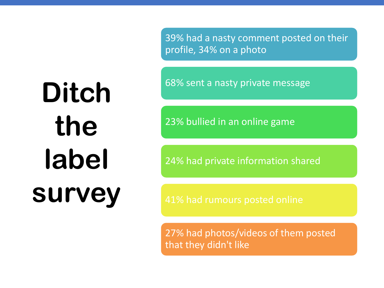39% had a nasty comment posted on their profile, 34% on a photo

68% sent a nasty private message

23% bullied in an online game

24% had private information shared

27% had photos/videos of them posted that they didn't like

# **Ditch the label survey**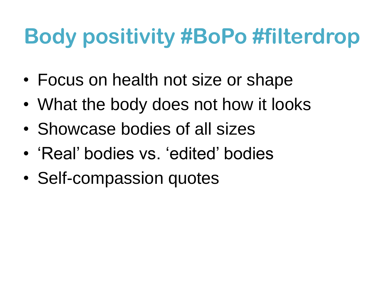#### **Body positivity #BoPo #filterdrop**

- Focus on health not size or shape
- What the body does not how it looks
- Showcase bodies of all sizes
- 'Real' bodies vs. 'edited' bodies
- Self-compassion quotes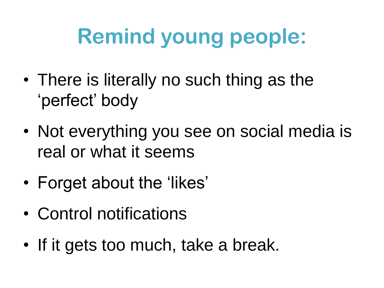# **Remind young people:**

- There is literally no such thing as the 'perfect' body
- Not everything you see on social media is real or what it seems
- Forget about the 'likes'
- Control notifications
- If it gets too much, take a break.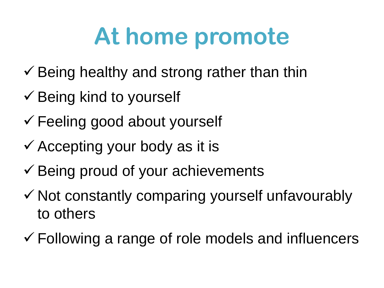# **At home promote**

- $\checkmark$  Being healthy and strong rather than thin
- $\checkmark$  Being kind to yourself
- Feeling good about yourself
- $\checkmark$  Accepting your body as it is
- $\checkmark$  Being proud of your achievements
- $\checkmark$  Not constantly comparing yourself unfavourably to others
- $\checkmark$  Following a range of role models and influencers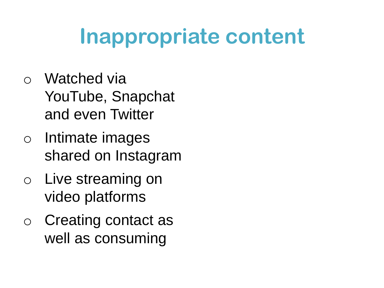#### **Inappropriate content**

- o Watched via YouTube, Snapchat and even Twitter
- o Intimate images shared on Instagram
- o Live streaming on video platforms
- o Creating contact as well as consuming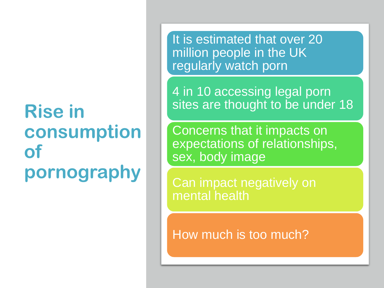#### **Rise in consumption of pornography**

It is estimated that over 20 million people in the UK regularly watch porn

4 in 10 accessing legal porn sites are thought to be under 18

Concerns that it impacts on expectations of relationships, sex, body image

Can impact negatively on mental health

How much is too much?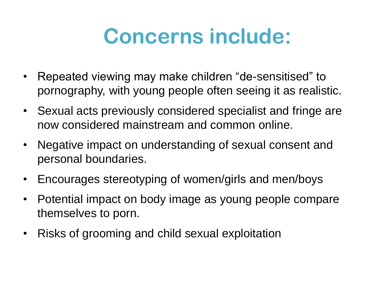#### **Concerns include:**

- Repeated viewing may make children "de-sensitised" to pornography, with young people often seeing it as realistic.
- Sexual acts previously considered specialist and fringe are now considered mainstream and common online.
- Negative impact on understanding of sexual consent and personal boundaries.
- Encourages stereotyping of women/girls and men/boys
- Potential impact on body image as young people compare themselves to porn.
- Risks of grooming and child sexual exploitation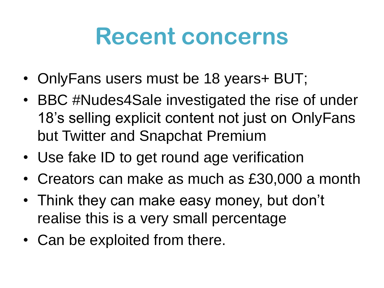#### **Recent concerns**

- OnlyFans users must be 18 years+ BUT;
- BBC #Nudes4Sale investigated the rise of under 18's selling explicit content not just on OnlyFans but Twitter and Snapchat Premium
- Use fake ID to get round age verification
- Creators can make as much as £30,000 a month
- Think they can make easy money, but don't realise this is a very small percentage
- Can be exploited from there.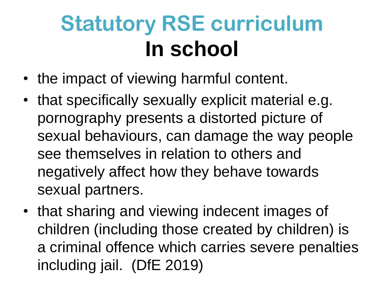# **Statutory RSE curriculum In school**

- the impact of viewing harmful content.
- that specifically sexually explicit material e.g. pornography presents a distorted picture of sexual behaviours, can damage the way people see themselves in relation to others and negatively affect how they behave towards sexual partners.
- that sharing and viewing indecent images of children (including those created by children) is a criminal offence which carries severe penalties including jail. (DfE 2019)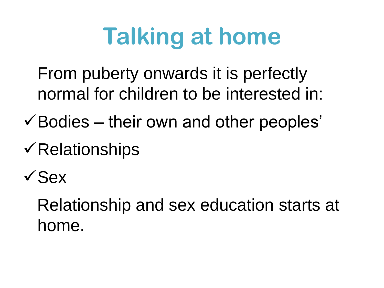# **Talking at home**

From puberty onwards it is perfectly normal for children to be interested in:

- $\checkmark$  Bodies their own and other peoples'
- $\checkmark$  Relationships

 $\sqrt{S}eX$ 

Relationship and sex education starts at home.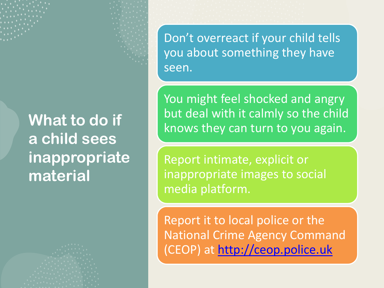#### **What to do if a child sees inappropriate material**

Don't overreact if your child tells you about something they have seen.

You might feel shocked and angry but deal with it calmly so the child knows they can turn to you again.

Report intimate, explicit or inappropriate images to social media platform.

Report it to local police or the National Crime Agency Command (CEOP) at [http://ceop.police.uk](http://ceop.police.uk/)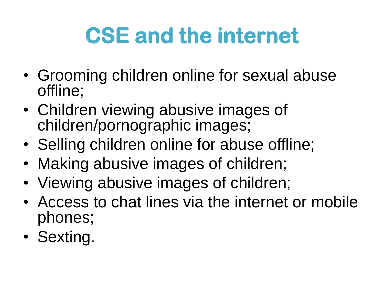# **CSE and the internet**

- Grooming children online for sexual abuse offline;
- Children viewing abusive images of children/pornographic images;
- Selling children online for abuse offline;
- Making abusive images of children;
- Viewing abusive images of children;
- Access to chat lines via the internet or mobile phones;
- Sexting.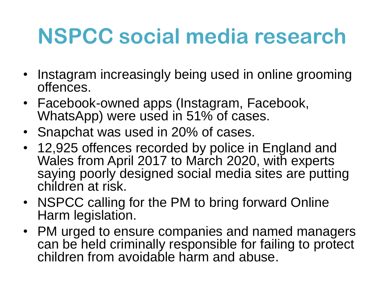#### **NSPCC social media research**

- Instagram increasingly being used in online grooming offences.
- Facebook-owned apps (Instagram, Facebook, WhatsApp) were used in 51% of cases.
- Snapchat was used in 20% of cases.
- 12,925 offences recorded by police in England and Wales from April 2017 to March 2020, with experts saying poorly designed social media sites are putting children at risk.
- NSPCC calling for the PM to bring forward Online Harm legislation.
- PM urged to ensure companies and named managers can be held criminally responsible for failing to protect children from avoidable harm and abuse.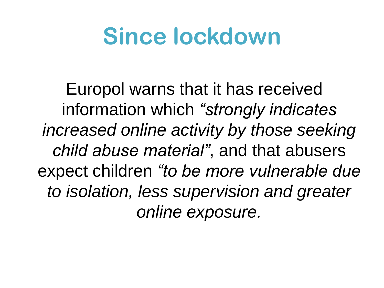# **Since lockdown**

Europol warns that it has received information which *"strongly indicates increased online activity by those seeking child abuse material"*, and that abusers expect children *"to be more vulnerable due to isolation, less supervision and greater online exposure.*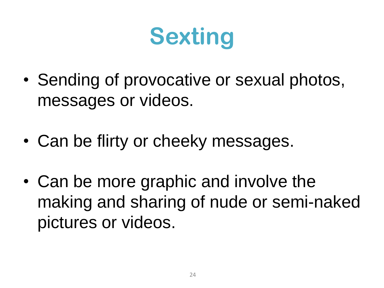# **Sexting**

- Sending of provocative or sexual photos, messages or videos.
- Can be flirty or cheeky messages.
- Can be more graphic and involve the making and sharing of nude or semi-naked pictures or videos.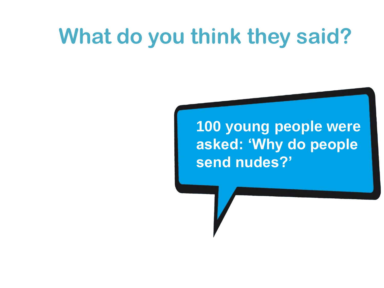#### **What do you think they said?**

#### **100 young people were asked: 'Why do people send nudes?'**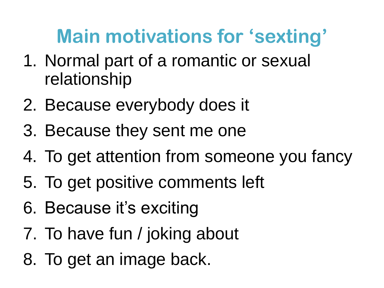#### **Main motivations for 'sexting'**

- 1. Normal part of a romantic or sexual relationship
- 2. Because everybody does it
- 3. Because they sent me one
- 4. To get attention from someone you fancy
- 5. To get positive comments left
- 6. Because it's exciting
- 7. To have fun / joking about
- 8. To get an image back.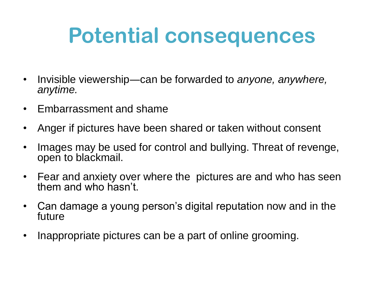#### **Potential consequences**

- Invisible viewership―can be forwarded to *anyone, anywhere, anytime.*
- Embarrassment and shame
- Anger if pictures have been shared or taken without consent
- Images may be used for control and bullying. Threat of revenge, open to blackmail.
- Fear and anxiety over where the pictures are and who has seen them and who hasn't.
- Can damage a young person's digital reputation now and in the future
- Inappropriate pictures can be a part of online grooming.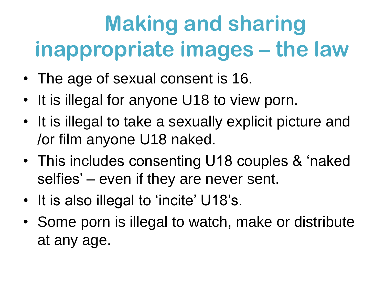# **Making and sharing inappropriate images – the law**

- The age of sexual consent is 16.
- It is illegal for anyone U18 to view porn.
- It is illegal to take a sexually explicit picture and /or film anyone U18 naked.
- This includes consenting U18 couples & 'naked selfies' – even if they are never sent.
- It is also illegal to 'incite' U18's.
- Some porn is illegal to watch, make or distribute at any age.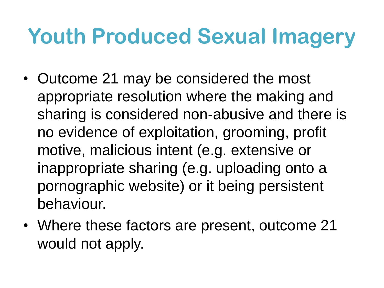#### **Youth Produced Sexual Imagery**

- Outcome 21 may be considered the most appropriate resolution where the making and sharing is considered non-abusive and there is no evidence of exploitation, grooming, profit motive, malicious intent (e.g. extensive or inappropriate sharing (e.g. uploading onto a pornographic website) or it being persistent behaviour.
- Where these factors are present, outcome 21 would not apply.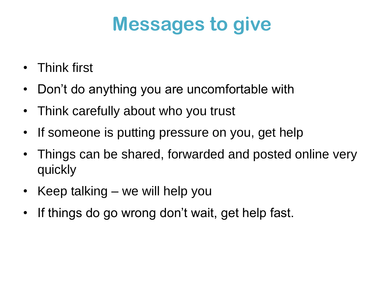#### **Messages to give**

- Think first
- Don't do anything you are uncomfortable with
- Think carefully about who you trust
- If someone is putting pressure on you, get help
- Things can be shared, forwarded and posted online very quickly
- Keep talking we will help you
- If things do go wrong don't wait, get help fast.